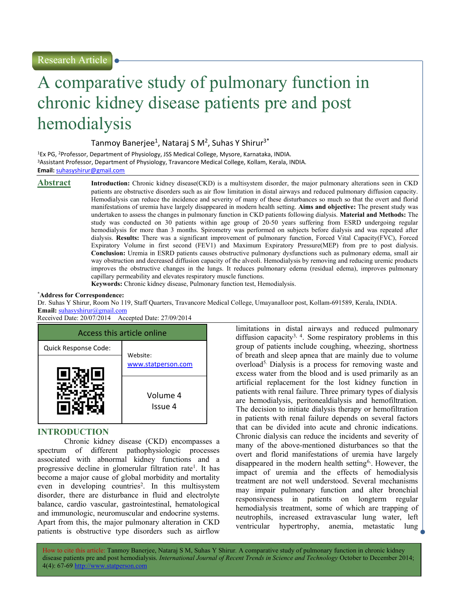# A comparative study of pulmonary function in chronic kidney disease patients pre and post hemodialysis

Tanmoy Banerjee<sup>1</sup>, Nataraj S M<sup>2</sup>, Suhas Y Shirur<sup>3\*</sup>

<sup>1</sup>Ex PG, <sup>2</sup>Professor, Department of Physiology, JSS Medical College, Mysore, Karnataka, INDIA. <sup>3</sup>Assistant Professor, Department of Physiology, Travancore Medical College, Kollam, Kerala, INDIA. Email: suhasyshirur@gmail.com

Abstract Introduction: Chronic kidney disease(CKD) is a multisystem disorder, the major pulmonary alterations seen in CKD patients are obstructive disorders such as air flow limitation in distal airways and reduced pulmonary diffusion capacity. Hemodialysis can reduce the incidence and severity of many of these disturbances so much so that the overt and florid manifestations of uremia have largely disappeared in modern health setting. Aims and objective: The present study was undertaken to assess the changes in pulmonary function in CKD patients following dialysis. Material and Methods: The study was conducted on 30 patients within age group of 20-50 years suffering from ESRD undergoing regular hemodialysis for more than 3 months. Spirometry was performed on subjects before dialysis and was repeated after dialysis. Results: There was a significant improvement of pulmonary function, Forced Vital Capacity(FVC), Forced Expiratory Volume in first second (FEV1) and Maximum Expiratory Pressure(MEP) from pre to post dialysis. Conclusion: Uremia in ESRD patients causes obstructive pulmonary dysfunctions such as pulmonary edema, small air way obstruction and decreased diffusion capacity of the alveoli. Hemodialysis by removing and reducing uremic products improves the obstructive changes in the lungs. It reduces pulmonary edema (residual edema), improves pulmonary capillary permeability and elevates respiratory muscle functions.

Keywords: Chronic kidney disease, Pulmonary function test, Hemodialysis.

#### \*Address for Correspondence:

Dr. Suhas Y Shirur, Room No 119, Staff Quarters, Travancore Medical College, Umayanalloor post, Kollam-691589, Kerala, INDIA.

Email: suhasyshirur@gmail.com Received Date: 20/07/2014 Accepted Date: 27/09/2014



# INTRODUCTION

Chronic kidney disease (CKD) encompasses a spectrum of different pathophysiologic processes associated with abnormal kidney functions and a progressive decline in glomerular filtration rate<sup>1</sup>. It has become a major cause of global morbidity and mortality even in developing countries<sup>2</sup>. In this multisystem disorder, there are disturbance in fluid and electrolyte balance, cardio vascular, gastrointestinal, hematological and immunologic, neuromuscular and endocrine systems. Apart from this, the major pulmonary alteration in CKD patients is obstructive type disorders such as airflow

limitations in distal airways and reduced pulmonary diffusion capacity<sup>3, 4</sup>. Some respiratory problems in this group of patients include coughing, wheezing, shortness of breath and sleep apnea that are mainly due to volume overload5. Dialysis is a process for removing waste and excess water from the blood and is used primarily as an artificial replacement for the lost kidney function in patients with renal failure. Three primary types of dialysis are hemodialysis, peritonealdialysis and hemofiltration. The decision to initiate dialysis therapy or hemofiltration in patients with renal failure depends on several factors that can be divided into acute and chronic indications. Chronic dialysis can reduce the incidents and severity of many of the above-mentioned disturbances so that the overt and florid manifestations of uremia have largely disappeared in the modern health setting<sup>6</sup>. However, the impact of uremia and the effects of hemodialysis treatment are not well understood. Several mechanisms may impair pulmonary function and alter bronchial responsiveness in patients on longterm regular hemodialysis treatment, some of which are trapping of neutrophils, increased extravascular lung water, left ventricular hypertrophy, anemia, metastatic lung

How to cite this article: Tanmoy Banerjee, Nataraj S M, Suhas Y Shirur. A comparative study of pulmonary function in chronic kidney disease patients pre and post hemodialysis. International Journal of Recent Trends in Science and Technology October to December 2014; 4(4): 67-69 http://www.statperson.com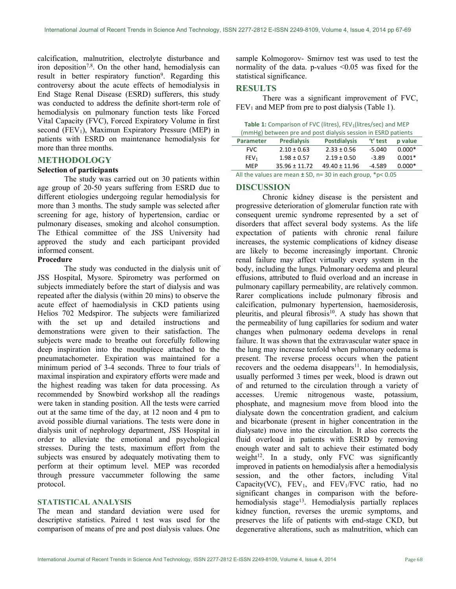calcification, malnutrition, electrolyte disturbance and iron deposition<sup>7,8</sup>. On the other hand, hemodialysis can result in better respiratory function<sup>9</sup>. Regarding this controversy about the acute effects of hemodialysis in End Stage Renal Disease (ESRD) sufferers, this study was conducted to address the definite short-term role of hemodialysis on pulmonary function tests like Forced Vital Capacity (FVC), Forced Expiratory Volume in first second (FEV<sub>1</sub>), Maximun Expiratory Pressure (MEP) in patients with ESRD on maintenance hemodialysis for more than three months.

## METHODOLOGY

### Selection of participants

The study was carried out on 30 patients within age group of 20-50 years suffering from ESRD due to different etiologies undergoing regular hemodialysis for more than 3 months. The study sample was selected after screening for age, history of hypertension, cardiac or pulmonary diseases, smoking and alcohol consumption. The Ethical committee of the JSS University had approved the study and each participant provided informed consent.

#### Procedure

The study was conducted in the dialysis unit of JSS Hospital, Mysore. Spirometry was performed on subjects immediately before the start of dialysis and was repeated after the dialysis (within 20 mins) to observe the acute effect of haemodialysis in CKD patients using Helios 702 Medspiror. The subjects were familiarized with the set up and detailed instructions and demonstrations were given to their satisfaction. The subjects were made to breathe out forcefully following deep inspiration into the mouthpiece attached to the pneumatachometer. Expiration was maintained for a minimum period of 3-4 seconds. Three to four trials of maximal inspiration and expiratory efforts were made and the highest reading was taken for data processing. As recommended by Snowbird workshop all the readings were taken in standing position. All the tests were carried out at the same time of the day, at 12 noon and 4 pm to avoid possible diurnal variations. The tests were done in dialysis unit of nephrology department, JSS Hospital in order to alleviate the emotional and psychological stresses. During the tests, maximum effort from the subjects was ensured by adequately motivating them to perform at their optimum level. MEP was recorded through pressure vaccummeter following the same protocol.

### STATISTICAL ANALYSIS

The mean and standard deviation were used for descriptive statistics. Paired t test was used for the comparison of means of pre and post dialysis values. One

sample Kolmogorov- Smirnov test was used to test the normality of the data. p-values  $\leq 0.05$  was fixed for the statistical significance.

#### RESULTS

There was a significant improvement of FVC,  $FEV<sub>1</sub>$  and MEP from pre to post dialysis (Table 1).

Table 1: Comparison of FVC (litres), FEV<sub>1</sub>(litres/sec) and MEP (mmHg) between pre and post dialysis session in ESRD patients

| <b>Parameter</b>                                                | <b>Predialysis</b> | <b>Postdialysis</b> | "test"   | p value  |
|-----------------------------------------------------------------|--------------------|---------------------|----------|----------|
| <b>FVC</b>                                                      | $2.10 \pm 0.63$    | $2.33 \pm 0.56$     | $-5.040$ | $0.000*$ |
| FEV <sub>1</sub>                                                | $1.98 \pm 0.57$    | $2.19 \pm 0.50$     | $-3.89$  | $0.001*$ |
| <b>MFP</b>                                                      | $35.96 \pm 11.72$  | $49.40 \pm 11.96$   | $-4.589$ | $0.000*$ |
| All the values are mean $\pm$ SD, n= 30 in each group, *p< 0.05 |                    |                     |          |          |

#### DISCUSSION

Chronic kidney disease is the persistent and progressive deterioration of glomerular function rate with consequent uremic syndrome represented by a set of disorders that affect several body systems. As the life expectation of patients with chronic renal failure increases, the systemic complications of kidney disease are likely to become increasingly important. Chronic renal failure may affect virtually every system in the body, including the lungs. Pulmonary oedema and pleural effusions, attributed to fluid overload and an increase in pulmonary capillary permeability, are relatively common. Rarer complications include pulmonary fibrosis and calcification, pulmonary hypertension, haemosiderosis, pleuritis, and pleural fibrosis<sup>10</sup>. A study has shown that the permeability of lung capillaries for sodium and water changes when pulmonary oedema develops in renal failure. It was shown that the extravascular water space in the lung may increase tenfold when pulmonary oedema is present. The reverse process occurs when the patient recovers and the oedema disappears<sup>11</sup>. In hemodialysis, usually performed 3 times per week, blood is drawn out of and returned to the circulation through a variety of accesses. Uremic nitrogenous waste, potassium, phosphate, and magnesium move from blood into the dialysate down the concentration gradient, and calcium and bicarbonate (present in higher concentration in the dialysate) move into the circulation. It also corrects the fluid overload in patients with ESRD by removing enough water and salt to achieve their estimated body weight $12$ . In a study, only FVC was significantly improved in patients on hemodialysis after a hemodialysis session, and the other factors, including Vital Capacity(VC),  $FEV_1$ , and  $FEV_1/FVC$  ratio, had no significant changes in comparison with the beforehemodialysis stage<sup>13</sup>. Hemodialysis partially replaces kidney function, reverses the uremic symptoms, and preserves the life of patients with end-stage CKD, but degenerative alterations, such as malnutrition, which can